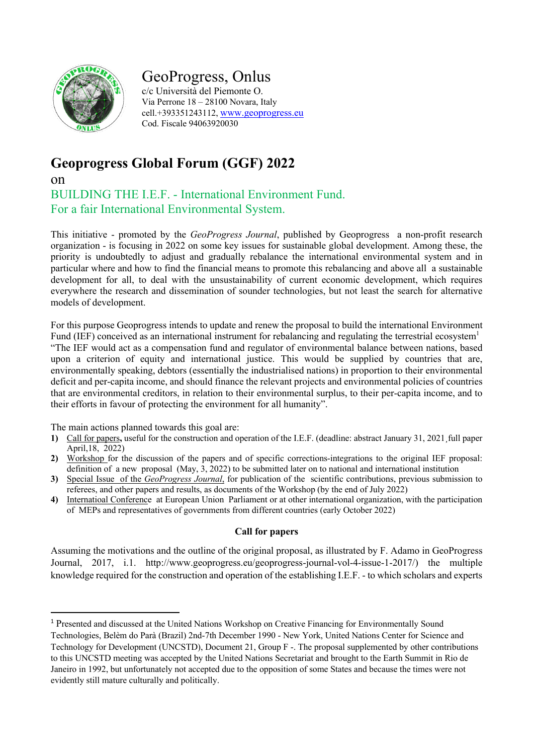

# GeoProgress, Onlus

c/c Università del Piemonte O. Via Perrone 18 – 28100 Novara, Italy cell.+393351243112, www.geoprogress.eu Cod. Fiscale 94063920030

# **Geoprogress Global Forum (GGF) 2022**

on

BUILDING THE I.E.F. - International Environment Fund. For a fair International Environmental System.

This initiative - promoted by the *GeoProgress Journal*, published by Geoprogress a non-profit research organization - is focusing in 2022 on some key issues for sustainable global development. Among these, the priority is undoubtedly to adjust and gradually rebalance the international environmental system and in particular where and how to find the financial means to promote this rebalancing and above all a sustainable development for all, to deal with the unsustainability of current economic development, which requires everywhere the research and dissemination of sounder technologies, but not least the search for alternative models of development.

For this purpose Geoprogress intends to update and renew the proposal to build the international Environment Fund (IEF) conceived as an international instrument for rebalancing and regulating the terrestrial ecosystem<sup>1</sup> "The IEF would act as a compensation fund and regulator of environmental balance between nations, based upon a criterion of equity and international justice. This would be supplied by countries that are, environmentally speaking, debtors (essentially the industrialised nations) in proportion to their environmental deficit and per-capita income, and should finance the relevant projects and environmental policies of countries that are environmental creditors, in relation to their environmental surplus, to their per-capita income, and to their efforts in favour of protecting the environment for all humanity".

The main actions planned towards this goal are:

- **1)** Call for papers**,** useful for the construction and operation of the I.E.F. (deadline: abstract January 31, 2021¸full paper April,18, 2022)
- **2)** Workshop for the discussion of the papers and of specific corrections-integrations to the original IEF proposal: definition of a new proposal (May, 3, 2022) to be submitted later on to national and international institution
- **3)** Special Issue of the *GeoProgress Journal*, for publication of the scientific contributions, previous submission to referees, and other papers and results, as documents of the Workshop (by the end of July 2022)
- **4)** Internatioal Conferenceat European Union Parliament or at other international organization, with the participation of MEPs and representatives of governments from different countries (early October 2022)

### **Call for papers**

Assuming the motivations and the outline of the original proposal, as illustrated by F. Adamo in GeoProgress Journal, 2017, i.1. http://www.geoprogress.eu/geoprogress-journal-vol-4-issue-1-2017/) the multiple knowledge required for the construction and operation of the establishing I.E.F. - to which scholars and experts

<sup>1</sup> Presented and discussed at the United Nations Workshop on Creative Financing for Environmentally Sound

Technologies, Belèm do Parà (Brazil) 2nd-7th December 1990 - New York, United Nations Center for Science and Technology for Development (UNCSTD), Document 21, Group F -. The proposal supplemented by other contributions to this UNCSTD meeting was accepted by the United Nations Secretariat and brought to the Earth Summit in Rio de Janeiro in 1992, but unfortunately not accepted due to the opposition of some States and because the times were not evidently still mature culturally and politically.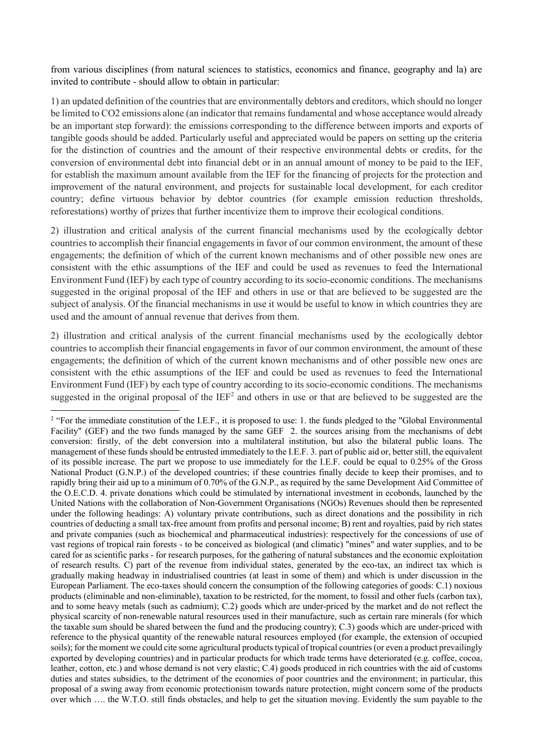from various disciplines (from natural sciences to statistics, economics and finance, geography and la) are invited to contribute - should allow to obtain in particular:

1) an updated definition of the countries that are environmentally debtors and creditors, which should no longer be limited to CO2 emissions alone (an indicator that remains fundamental and whose acceptance would already be an important step forward): the emissions corresponding to the difference between imports and exports of tangible goods should be added. Particularly useful and appreciated would be papers on setting up the criteria for the distinction of countries and the amount of their respective environmental debts or credits, for the conversion of environmental debt into financial debt or in an annual amount of money to be paid to the IEF, for establish the maximum amount available from the IEF for the financing of projects for the protection and improvement of the natural environment, and projects for sustainable local development, for each creditor country; define virtuous behavior by debtor countries (for example emission reduction thresholds, reforestations) worthy of prizes that further incentivize them to improve their ecological conditions.

2) illustration and critical analysis of the current financial mechanisms used by the ecologically debtor countries to accomplish their financial engagements in favor of our common environment, the amount of these engagements; the definition of which of the current known mechanisms and of other possible new ones are consistent with the ethic assumptions of the IEF and could be used as revenues to feed the International Environment Fund (IEF) by each type of country according to its socio-economic conditions. The mechanisms suggested in the original proposal of the IEF and others in use or that are believed to be suggested are the subject of analysis. Of the financial mechanisms in use it would be useful to know in which countries they are used and the amount of annual revenue that derives from them.

2) illustration and critical analysis of the current financial mechanisms used by the ecologically debtor countries to accomplish their financial engagements in favor of our common environment, the amount of these engagements; the definition of which of the current known mechanisms and of other possible new ones are consistent with the ethic assumptions of the IEF and could be used as revenues to feed the International Environment Fund (IEF) by each type of country according to its socio-economic conditions. The mechanisms suggested in the original proposal of the  $IEF<sup>2</sup>$  and others in use or that are believed to be suggested are the

<sup>&</sup>lt;sup>2</sup> "For the immediate constitution of the I.E.F., it is proposed to use: 1. the funds pledged to the "Global Environmental" Facility" (GEF) and the two funds managed by the same GEF 2. the sources arising from the mechanisms of debt conversion: firstly, of the debt conversion into a multilateral institution, but also the bilateral public loans. The management of these funds should be entrusted immediately to the I.E.F. 3. part of public aid or, better still, the equivalent of its possible increase. The part we propose to use immediately for the I.E.F. could be equal to 0.25% of the Gross National Product (G.N.P.) of the developed countries; if these countries finally decide to keep their promises, and to rapidly bring their aid up to a minimum of 0.70% of the G.N.P., as required by the same Development Aid Committee of the O.E.C.D. 4. private donations which could be stimulated by international investment in ecobonds, launched by the United Nations with the collaboration of Non-Government Organisations (NGOs) Revenues should then be represented under the following headings: A) voluntary private contributions, such as direct donations and the possibility in rich countries of deducting a small tax-free amount from profits and personal income; B) rent and royalties, paid by rich states and private companies (such as biochemical and pharmaceutical industries): respectively for the concessions of use of vast regions of tropical rain forests - to be conceived as biological (and climatic) "mines" and water supplies, and to be cared for as scientific parks - for research purposes, for the gathering of natural substances and the economic exploitation of research results. C) part of the revenue from individual states, generated by the eco-tax, an indirect tax which is gradually making headway in industrialised countries (at least in some of them) and which is under discussion in the European Parliament. The eco-taxes should concern the consumption of the following categories of goods: C.1) noxious products (eliminable and non-eliminable), taxation to be restricted, for the moment, to fossil and other fuels (carbon tax), and to some heavy metals (such as cadmium); C.2) goods which are under-priced by the market and do not reflect the physical scarcity of non-renewable natural resources used in their manufacture, such as certain rare minerals (for which the taxable sum should be shared between the fund and the producing country); C.3) goods which are under-priced with reference to the physical quantity of the renewable natural resources employed (for example, the extension of occupied soils); for the moment we could cite some agricultural products typical of tropical countries (or even a product prevailingly exported by developing countries) and in particular products for which trade terms have deteriorated (e.g. coffee, cocoa, leather, cotton, etc.) and whose demand is not very elastic; C.4) goods produced in rich countries with the aid of customs duties and states subsidies, to the detriment of the economies of poor countries and the environment; in particular, this proposal of a swing away from economic protectionism towards nature protection, might concern some of the products over which …. the W.T.O. still finds obstacles, and help to get the situation moving. Evidently the sum payable to the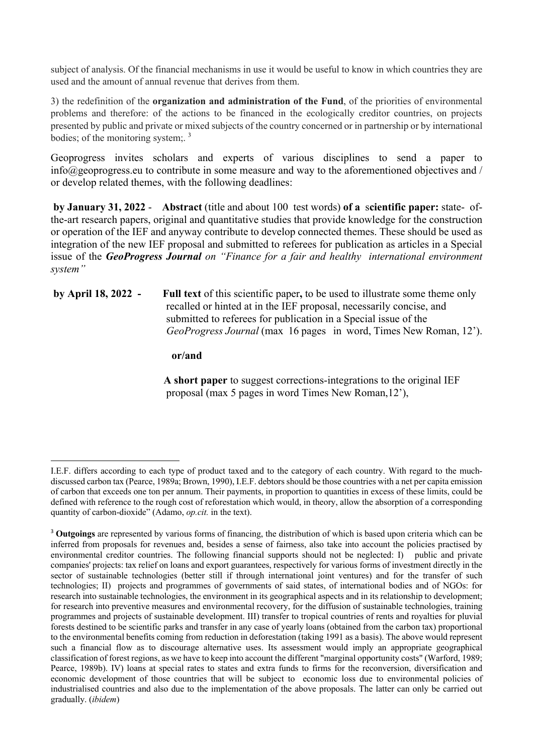subject of analysis. Of the financial mechanisms in use it would be useful to know in which countries they are used and the amount of annual revenue that derives from them.

3) the redefinition of the **organization and administration of the Fund**, of the priorities of environmental problems and therefore: of the actions to be financed in the ecologically creditor countries, on projects presented by public and private or mixed subjects of the country concerned or in partnership or by international bodies; of the monitoring system; <sup>3</sup>

Geoprogress invites scholars and experts of various disciplines to send a paper to  $info@geoprogress.eu$  to contribute in some measure and way to the aforementioned objectives and / or develop related themes, with the following deadlines:

**by January 31, 2022** - **Abstract** (title and about 100 test words) **of a** s**cientific paper:** state- ofthe-art research papers, original and quantitative studies that provide knowledge for the construction or operation of the IEF and anyway contribute to develop connected themes. These should be used as integration of the new IEF proposal and submitted to referees for publication as articles in a Special issue of the *GeoProgress Journal on "Finance for a fair and healthy international environment system"*

**by April 18, 2022 - Full text** of this scientific paper**,** to be used to illustrate some theme only recalled or hinted at in the IEF proposal, necessarily concise, and submitted to referees for publication in a Special issue of the *GeoProgress Journal* (max 16 pages in word, Times New Roman, 12').

**or/and**

 **A short paper** to suggest corrections-integrations to the original IEF proposal (max 5 pages in word Times New Roman,12'),

I.E.F. differs according to each type of product taxed and to the category of each country. With regard to the muchdiscussed carbon tax (Pearce, 1989a; Brown, 1990), I.E.F. debtors should be those countries with a net per capita emission of carbon that exceeds one ton per annum. Their payments, in proportion to quantities in excess of these limits, could be defined with reference to the rough cost of reforestation which would, in theory, allow the absorption of a corresponding quantity of carbon-dioxide" (Adamo, *op.cit.* in the text).

<sup>3</sup> **Outgoings** are represented by various forms of financing, the distribution of which is based upon criteria which can be inferred from proposals for revenues and, besides a sense of fairness, also take into account the policies practised by environmental creditor countries. The following financial supports should not be neglected: I) public and private companies' projects: tax relief on loans and export guarantees, respectively for various forms of investment directly in the sector of sustainable technologies (better still if through international joint ventures) and for the transfer of such technologies; II) projects and programmes of governments of said states, of international bodies and of NGOs: for research into sustainable technologies, the environment in its geographical aspects and in its relationship to development; for research into preventive measures and environmental recovery, for the diffusion of sustainable technologies, training programmes and projects of sustainable development. III) transfer to tropical countries of rents and royalties for pluvial forests destined to be scientific parks and transfer in any case of yearly loans (obtained from the carbon tax) proportional to the environmental benefits coming from reduction in deforestation (taking 1991 as a basis). The above would represent such a financial flow as to discourage alternative uses. Its assessment would imply an appropriate geographical classification of forest regions, as we have to keep into account the different "marginal opportunity costs" (Warford, 1989; Pearce, 1989b). IV) loans at special rates to states and extra funds to firms for the reconversion, diversification and economic development of those countries that will be subject to economic loss due to environmental policies of industrialised countries and also due to the implementation of the above proposals. The latter can only be carried out gradually. (*ibidem*)